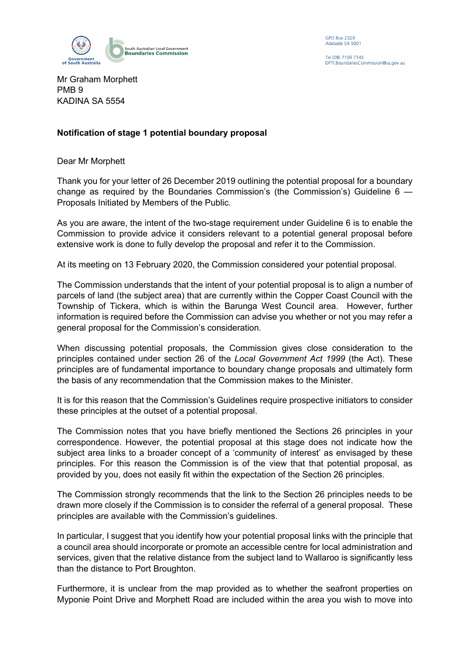

**GPO Box 2329** Adelaide SA 5001

Tel (08) 7109 7145 DPTI.BoundariesCommission@sa.gov.au

Mr Graham Morphett PMB 9 KADINA SA 5554

## **Notification of stage 1 potential boundary proposal**

Dear Mr Morphett

Thank you for your letter of 26 December 2019 outlining the potential proposal for a boundary change as required by the Boundaries Commission's (the Commission's) Guideline 6 — Proposals Initiated by Members of the Public.

As you are aware, the intent of the two-stage requirement under Guideline 6 is to enable the Commission to provide advice it considers relevant to a potential general proposal before extensive work is done to fully develop the proposal and refer it to the Commission.

At its meeting on 13 February 2020, the Commission considered your potential proposal.

The Commission understands that the intent of your potential proposal is to align a number of parcels of land (the subject area) that are currently within the Copper Coast Council with the Township of Tickera, which is within the Barunga West Council area. However, further information is required before the Commission can advise you whether or not you may refer a general proposal for the Commission's consideration.

When discussing potential proposals, the Commission gives close consideration to the principles contained under section 26 of the *Local Government Act 1999* (the Act). These principles are of fundamental importance to boundary change proposals and ultimately form the basis of any recommendation that the Commission makes to the Minister.

It is for this reason that the Commission's Guidelines require prospective initiators to consider these principles at the outset of a potential proposal.

The Commission notes that you have briefly mentioned the Sections 26 principles in your correspondence. However, the potential proposal at this stage does not indicate how the subject area links to a broader concept of a 'community of interest' as envisaged by these principles. For this reason the Commission is of the view that that potential proposal, as provided by you, does not easily fit within the expectation of the Section 26 principles.

The Commission strongly recommends that the link to the Section 26 principles needs to be drawn more closely if the Commission is to consider the referral of a general proposal. These principles are available with the Commission's guidelines.

In particular, I suggest that you identify how your potential proposal links with the principle that a council area should incorporate or promote an accessible centre for local administration and services, given that the relative distance from the subject land to Wallaroo is significantly less than the distance to Port Broughton.

Furthermore, it is unclear from the map provided as to whether the seafront properties on Myponie Point Drive and Morphett Road are included within the area you wish to move into